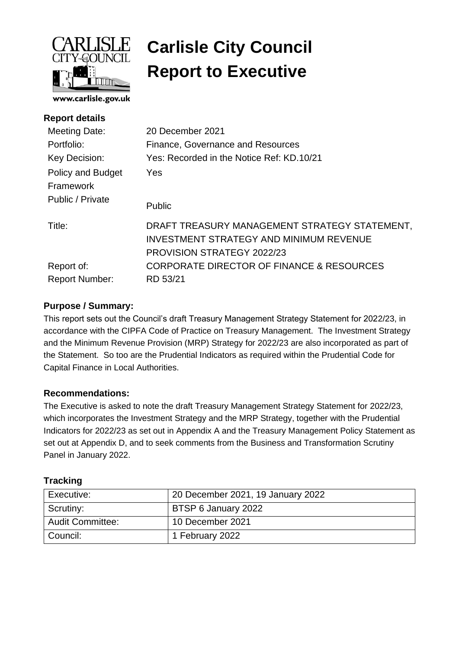

# **Carlisle City Council Report to Executive**

| <b>Report details</b>          |                                                                                                                                      |
|--------------------------------|--------------------------------------------------------------------------------------------------------------------------------------|
| <b>Meeting Date:</b>           | 20 December 2021                                                                                                                     |
| Portfolio:                     | Finance, Governance and Resources                                                                                                    |
| Key Decision:                  | Yes: Recorded in the Notice Ref: KD.10/21                                                                                            |
| Policy and Budget<br>Framework | Yes                                                                                                                                  |
| Public / Private               | <b>Public</b>                                                                                                                        |
| Title:                         | DRAFT TREASURY MANAGEMENT STRATEGY STATEMENT,<br><b>INVESTMENT STRATEGY AND MINIMUM REVENUE</b><br><b>PROVISION STRATEGY 2022/23</b> |
| Report of:                     | CORPORATE DIRECTOR OF FINANCE & RESOURCES                                                                                            |
| <b>Report Number:</b>          | RD 53/21                                                                                                                             |
|                                |                                                                                                                                      |

## **Purpose / Summary:**

This report sets out the Council's draft Treasury Management Strategy Statement for 2022/23, in accordance with the CIPFA Code of Practice on Treasury Management. The Investment Strategy and the Minimum Revenue Provision (MRP) Strategy for 2022/23 are also incorporated as part of the Statement. So too are the Prudential Indicators as required within the Prudential Code for Capital Finance in Local Authorities.

## **Recommendations:**

The Executive is asked to note the draft Treasury Management Strategy Statement for 2022/23, which incorporates the Investment Strategy and the MRP Strategy, together with the Prudential Indicators for 2022/23 as set out in Appendix A and the Treasury Management Policy Statement as set out at Appendix D, and to seek comments from the Business and Transformation Scrutiny Panel in January 2022.

## **Tracking**

| Executive:              | 20 December 2021, 19 January 2022 |
|-------------------------|-----------------------------------|
| Scrutiny:               | BTSP 6 January 2022               |
| <b>Audit Committee:</b> | 10 December 2021                  |
| Council:                | 1 February 2022                   |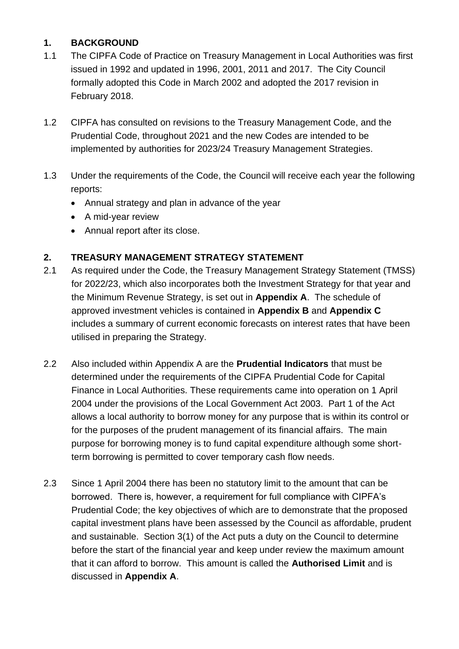## **1. BACKGROUND**

- 1.1 The CIPFA Code of Practice on Treasury Management in Local Authorities was first issued in 1992 and updated in 1996, 2001, 2011 and 2017. The City Council formally adopted this Code in March 2002 and adopted the 2017 revision in February 2018.
- 1.2 CIPFA has consulted on revisions to the Treasury Management Code, and the Prudential Code, throughout 2021 and the new Codes are intended to be implemented by authorities for 2023/24 Treasury Management Strategies.
- 1.3 Under the requirements of the Code, the Council will receive each year the following reports:
	- Annual strategy and plan in advance of the year
	- A mid-year review
	- Annual report after its close.

## **2. TREASURY MANAGEMENT STRATEGY STATEMENT**

- 2.1 As required under the Code, the Treasury Management Strategy Statement (TMSS) for 2022/23, which also incorporates both the Investment Strategy for that year and the Minimum Revenue Strategy, is set out in **Appendix A**. The schedule of approved investment vehicles is contained in **Appendix B** and **Appendix C**  includes a summary of current economic forecasts on interest rates that have been utilised in preparing the Strategy.
- 2.2 Also included within Appendix A are the **Prudential Indicators** that must be determined under the requirements of the CIPFA Prudential Code for Capital Finance in Local Authorities. These requirements came into operation on 1 April 2004 under the provisions of the Local Government Act 2003. Part 1 of the Act allows a local authority to borrow money for any purpose that is within its control or for the purposes of the prudent management of its financial affairs. The main purpose for borrowing money is to fund capital expenditure although some shortterm borrowing is permitted to cover temporary cash flow needs.
- 2.3 Since 1 April 2004 there has been no statutory limit to the amount that can be borrowed. There is, however, a requirement for full compliance with CIPFA's Prudential Code; the key objectives of which are to demonstrate that the proposed capital investment plans have been assessed by the Council as affordable, prudent and sustainable. Section 3(1) of the Act puts a duty on the Council to determine before the start of the financial year and keep under review the maximum amount that it can afford to borrow. This amount is called the **Authorised Limit** and is discussed in **Appendix A**.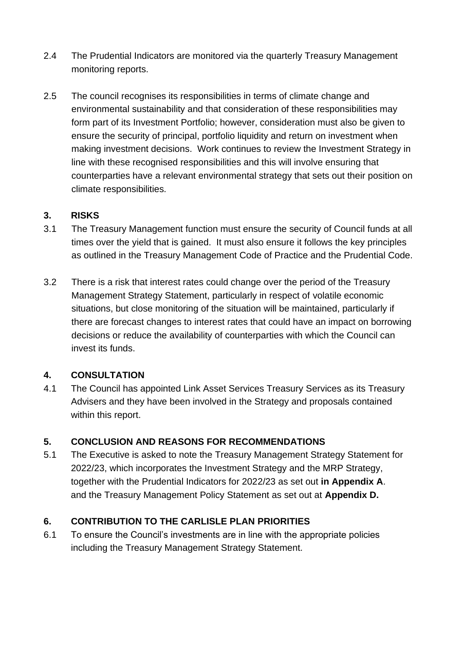- 2.4 The Prudential Indicators are monitored via the quarterly Treasury Management monitoring reports.
- 2.5 The council recognises its responsibilities in terms of climate change and environmental sustainability and that consideration of these responsibilities may form part of its Investment Portfolio; however, consideration must also be given to ensure the security of principal, portfolio liquidity and return on investment when making investment decisions. Work continues to review the Investment Strategy in line with these recognised responsibilities and this will involve ensuring that counterparties have a relevant environmental strategy that sets out their position on climate responsibilities.

## **3. RISKS**

- 3.1 The Treasury Management function must ensure the security of Council funds at all times over the yield that is gained. It must also ensure it follows the key principles as outlined in the Treasury Management Code of Practice and the Prudential Code.
- 3.2 There is a risk that interest rates could change over the period of the Treasury Management Strategy Statement, particularly in respect of volatile economic situations, but close monitoring of the situation will be maintained, particularly if there are forecast changes to interest rates that could have an impact on borrowing decisions or reduce the availability of counterparties with which the Council can invest its funds.

## **4. CONSULTATION**

4.1 The Council has appointed Link Asset Services Treasury Services as its Treasury Advisers and they have been involved in the Strategy and proposals contained within this report.

## **5. CONCLUSION AND REASONS FOR RECOMMENDATIONS**

5.1 The Executive is asked to note the Treasury Management Strategy Statement for 2022/23, which incorporates the Investment Strategy and the MRP Strategy, together with the Prudential Indicators for 2022/23 as set out **in Appendix A**. and the Treasury Management Policy Statement as set out at **Appendix D.**

## **6. CONTRIBUTION TO THE CARLISLE PLAN PRIORITIES**

6.1 To ensure the Council's investments are in line with the appropriate policies including the Treasury Management Strategy Statement.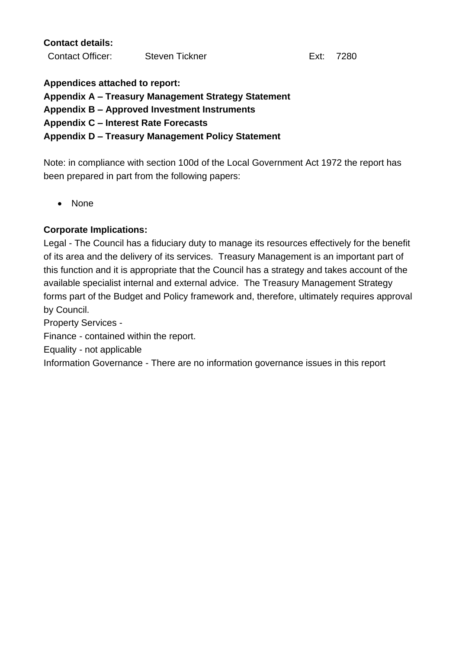**Contact details:**

Contact Officer: Steven Tickner Ext: 7280

**Appendices attached to report:**

**Appendix A – Treasury Management Strategy Statement** 

**Appendix B – Approved Investment Instruments**

**Appendix C – Interest Rate Forecasts**

#### **Appendix D – Treasury Management Policy Statement**

Note: in compliance with section 100d of the Local Government Act 1972 the report has been prepared in part from the following papers:

• None

## **Corporate Implications:**

Legal - The Council has a fiduciary duty to manage its resources effectively for the benefit of its area and the delivery of its services. Treasury Management is an important part of this function and it is appropriate that the Council has a strategy and takes account of the available specialist internal and external advice. The Treasury Management Strategy forms part of the Budget and Policy framework and, therefore, ultimately requires approval by Council.

Property Services -

Finance - contained within the report.

Equality - not applicable

Information Governance - There are no information governance issues in this report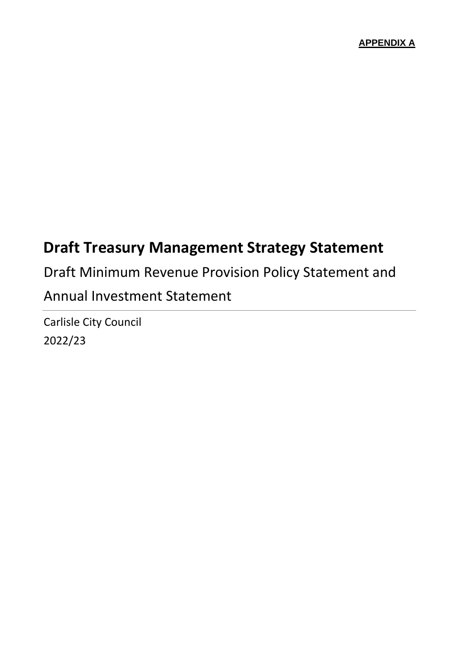## **Draft Treasury Management Strategy Statement**

Draft Minimum Revenue Provision Policy Statement and Annual Investment Statement

Carlisle City Council 2022/23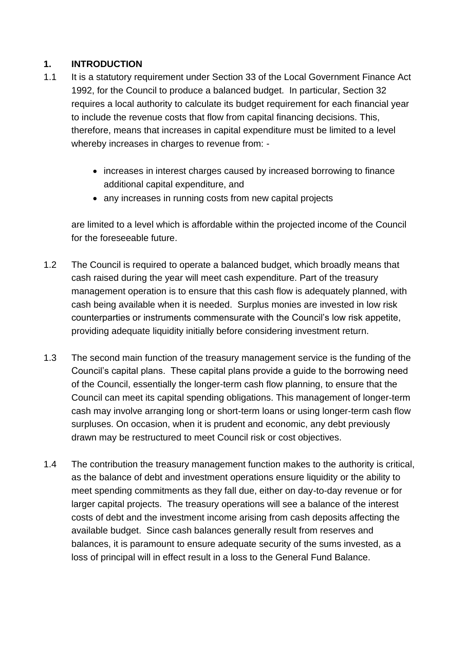## **1. INTRODUCTION**

- 1.1 It is a statutory requirement under Section 33 of the Local Government Finance Act 1992, for the Council to produce a balanced budget. In particular, Section 32 requires a local authority to calculate its budget requirement for each financial year to include the revenue costs that flow from capital financing decisions. This, therefore, means that increases in capital expenditure must be limited to a level whereby increases in charges to revenue from: -
	- increases in interest charges caused by increased borrowing to finance additional capital expenditure, and
	- any increases in running costs from new capital projects

are limited to a level which is affordable within the projected income of the Council for the foreseeable future.

- 1.2 The Council is required to operate a balanced budget, which broadly means that cash raised during the year will meet cash expenditure. Part of the treasury management operation is to ensure that this cash flow is adequately planned, with cash being available when it is needed. Surplus monies are invested in low risk counterparties or instruments commensurate with the Council's low risk appetite, providing adequate liquidity initially before considering investment return.
- 1.3 The second main function of the treasury management service is the funding of the Council's capital plans. These capital plans provide a guide to the borrowing need of the Council, essentially the longer-term cash flow planning, to ensure that the Council can meet its capital spending obligations. This management of longer-term cash may involve arranging long or short-term loans or using longer-term cash flow surpluses. On occasion, when it is prudent and economic, any debt previously drawn may be restructured to meet Council risk or cost objectives.
- 1.4 The contribution the treasury management function makes to the authority is critical, as the balance of debt and investment operations ensure liquidity or the ability to meet spending commitments as they fall due, either on day-to-day revenue or for larger capital projects. The treasury operations will see a balance of the interest costs of debt and the investment income arising from cash deposits affecting the available budget. Since cash balances generally result from reserves and balances, it is paramount to ensure adequate security of the sums invested, as a loss of principal will in effect result in a loss to the General Fund Balance.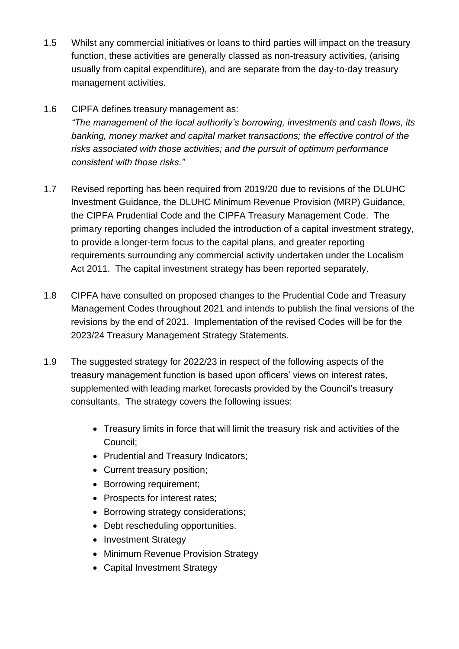- 1.5 Whilst any commercial initiatives or loans to third parties will impact on the treasury function, these activities are generally classed as non-treasury activities, (arising usually from capital expenditure), and are separate from the day-to-day treasury management activities.
- 1.6 CIPFA defines treasury management as: *"The management of the local authority's borrowing, investments and cash flows, its banking, money market and capital market transactions; the effective control of the risks associated with those activities; and the pursuit of optimum performance consistent with those risks."*
- 1.7 Revised reporting has been required from 2019/20 due to revisions of the DLUHC Investment Guidance, the DLUHC Minimum Revenue Provision (MRP) Guidance, the CIPFA Prudential Code and the CIPFA Treasury Management Code. The primary reporting changes included the introduction of a capital investment strategy, to provide a longer-term focus to the capital plans, and greater reporting requirements surrounding any commercial activity undertaken under the Localism Act 2011. The capital investment strategy has been reported separately.
- 1.8 CIPFA have consulted on proposed changes to the Prudential Code and Treasury Management Codes throughout 2021 and intends to publish the final versions of the revisions by the end of 2021. Implementation of the revised Codes will be for the 2023/24 Treasury Management Strategy Statements.
- 1.9 The suggested strategy for 2022/23 in respect of the following aspects of the treasury management function is based upon officers' views on interest rates, supplemented with leading market forecasts provided by the Council's treasury consultants. The strategy covers the following issues:
	- Treasury limits in force that will limit the treasury risk and activities of the Council;
	- Prudential and Treasury Indicators;
	- Current treasury position;
	- Borrowing requirement;
	- Prospects for interest rates;
	- Borrowing strategy considerations;
	- Debt rescheduling opportunities.
	- Investment Strategy
	- Minimum Revenue Provision Strategy
	- Capital Investment Strategy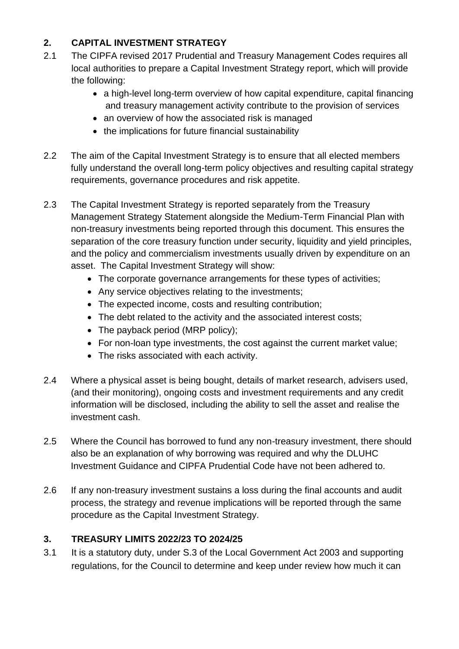## **2. CAPITAL INVESTMENT STRATEGY**

- 2.1 The CIPFA revised 2017 Prudential and Treasury Management Codes requires all local authorities to prepare a Capital Investment Strategy report, which will provide the following:
	- a high-level long-term overview of how capital expenditure, capital financing and treasury management activity contribute to the provision of services
	- an overview of how the associated risk is managed
	- the implications for future financial sustainability
- 2.2 The aim of the Capital Investment Strategy is to ensure that all elected members fully understand the overall long-term policy objectives and resulting capital strategy requirements, governance procedures and risk appetite.
- 2.3 The Capital Investment Strategy is reported separately from the Treasury Management Strategy Statement alongside the Medium-Term Financial Plan with non-treasury investments being reported through this document. This ensures the separation of the core treasury function under security, liquidity and yield principles, and the policy and commercialism investments usually driven by expenditure on an asset. The Capital Investment Strategy will show:
	- The corporate governance arrangements for these types of activities;
	- Any service objectives relating to the investments;
	- The expected income, costs and resulting contribution:
	- The debt related to the activity and the associated interest costs;
	- The payback period (MRP policy);
	- For non-loan type investments, the cost against the current market value;
	- The risks associated with each activity.
- 2.4 Where a physical asset is being bought, details of market research, advisers used, (and their monitoring), ongoing costs and investment requirements and any credit information will be disclosed, including the ability to sell the asset and realise the investment cash.
- 2.5 Where the Council has borrowed to fund any non-treasury investment, there should also be an explanation of why borrowing was required and why the DLUHC Investment Guidance and CIPFA Prudential Code have not been adhered to.
- 2.6 If any non-treasury investment sustains a loss during the final accounts and audit process, the strategy and revenue implications will be reported through the same procedure as the Capital Investment Strategy.

## **3. TREASURY LIMITS 2022/23 TO 2024/25**

3.1 It is a statutory duty, under S.3 of the Local Government Act 2003 and supporting regulations, for the Council to determine and keep under review how much it can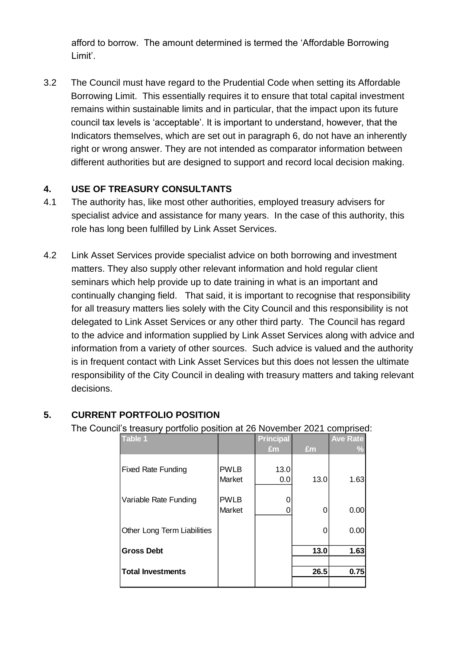afford to borrow. The amount determined is termed the 'Affordable Borrowing Limit'.

3.2 The Council must have regard to the Prudential Code when setting its Affordable Borrowing Limit. This essentially requires it to ensure that total capital investment remains within sustainable limits and in particular, that the impact upon its future council tax levels is 'acceptable'. It is important to understand, however, that the Indicators themselves, which are set out in paragraph 6, do not have an inherently right or wrong answer. They are not intended as comparator information between different authorities but are designed to support and record local decision making.

## **4. USE OF TREASURY CONSULTANTS**

- 4.1 The authority has, like most other authorities, employed treasury advisers for specialist advice and assistance for many years. In the case of this authority, this role has long been fulfilled by Link Asset Services.
- 4.2 Link Asset Services provide specialist advice on both borrowing and investment matters. They also supply other relevant information and hold regular client seminars which help provide up to date training in what is an important and continually changing field. That said, it is important to recognise that responsibility for all treasury matters lies solely with the City Council and this responsibility is not delegated to Link Asset Services or any other third party. The Council has regard to the advice and information supplied by Link Asset Services along with advice and information from a variety of other sources. Such advice is valued and the authority is in frequent contact with Link Asset Services but this does not lessen the ultimate responsibility of the City Council in dealing with treasury matters and taking relevant decisions.

## **5. CURRENT PORTFOLIO POSITION**

The Council's treasury portfolio position at 26 November 2021 comprised:

| <b>Table 1</b>              |             | <b>Principal</b> |      | <b>Ave Rate</b> |
|-----------------------------|-------------|------------------|------|-----------------|
|                             |             | Em               | £m   | $\frac{0}{2}$   |
| <b>Fixed Rate Funding</b>   | <b>PWLB</b> | 13.0             |      |                 |
|                             | Market      | 0.0              | 13.0 | 1.63            |
| Variable Rate Funding       | <b>PWLB</b> |                  |      |                 |
|                             | Market      |                  | 0    | 0.00            |
| Other Long Term Liabilities |             |                  | 0    | 0.00            |
| <b>Gross Debt</b>           |             |                  | 13.0 | 1.63            |
|                             |             |                  |      |                 |
| <b>Total Investments</b>    |             |                  | 26.5 | 0.75            |
|                             |             |                  |      |                 |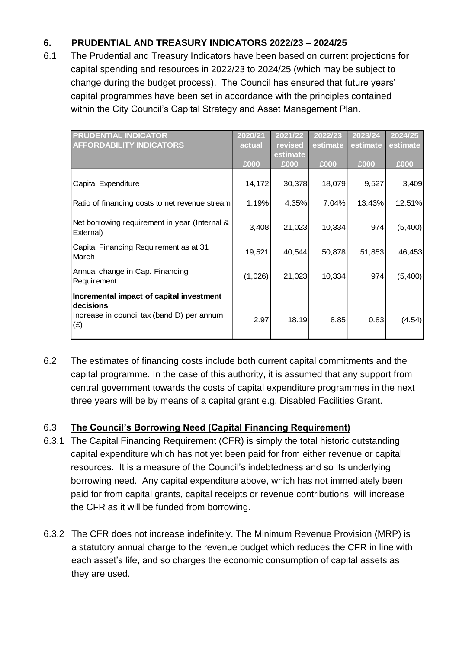## **6. PRUDENTIAL AND TREASURY INDICATORS 2022/23 – 2024/25**

6.1 The Prudential and Treasury Indicators have been based on current projections for capital spending and resources in 2022/23 to 2024/25 (which may be subject to change during the budget process). The Council has ensured that future years' capital programmes have been set in accordance with the principles contained within the City Council's Capital Strategy and Asset Management Plan.

| <b>PRUDENTIAL INDICATOR</b><br><b>AFFORDABILITY INDICATORS</b>                                             | 2020/21<br>actual | 2021/22<br>revised<br>estimate | 2022/23<br>estimate | 2023/24<br>estimate | 2024/25<br>estimate |
|------------------------------------------------------------------------------------------------------------|-------------------|--------------------------------|---------------------|---------------------|---------------------|
|                                                                                                            | £000              | £000                           | £000                | £000                | £000                |
| Capital Expenditure                                                                                        | 14,172            | 30,378                         | 18,079              | 9,527               | 3,409               |
| Ratio of financing costs to net revenue stream                                                             | 1.19%             | 4.35%                          | 7.04%               | 13.43%              | 12.51%              |
| Net borrowing requirement in year (Internal &<br>External)                                                 | 3,408             | 21,023                         | 10,334              | 974                 | (5,400)             |
| Capital Financing Requirement as at 31<br>March                                                            | 19,521            | 40,544                         | 50,878              | 51,853              | 46,453              |
| Annual change in Cap. Financing<br>Requirement                                                             | (1,026)           | 21,023                         | 10,334              | 974                 | (5,400)             |
| Incremental impact of capital investment<br>decisions<br>Increase in council tax (band D) per annum<br>(E) | 2.97              | 18.19                          | 8.85                | 0.83                | (4.54)              |

6.2 The estimates of financing costs include both current capital commitments and the capital programme. In the case of this authority, it is assumed that any support from central government towards the costs of capital expenditure programmes in the next three years will be by means of a capital grant e.g. Disabled Facilities Grant.

## 6.3 **The Council's Borrowing Need (Capital Financing Requirement)**

- 6.3.1 The Capital Financing Requirement (CFR) is simply the total historic outstanding capital expenditure which has not yet been paid for from either revenue or capital resources. It is a measure of the Council's indebtedness and so its underlying borrowing need. Any capital expenditure above, which has not immediately been paid for from capital grants, capital receipts or revenue contributions, will increase the CFR as it will be funded from borrowing.
- 6.3.2 The CFR does not increase indefinitely. The Minimum Revenue Provision (MRP) is a statutory annual charge to the revenue budget which reduces the CFR in line with each asset's life, and so charges the economic consumption of capital assets as they are used.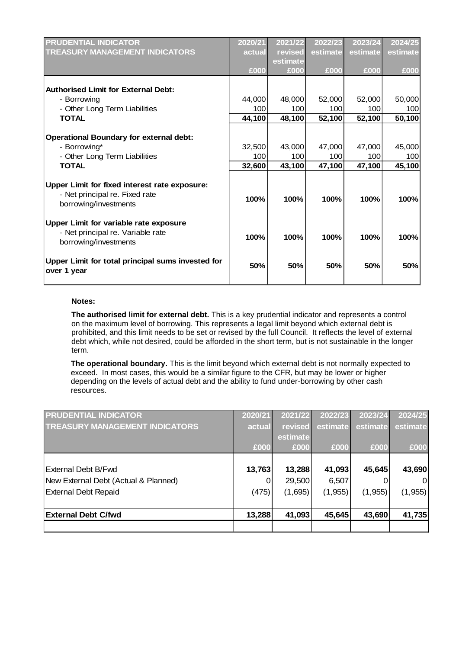| <b>PRUDENTIAL INDICATOR</b>                       | 2020/21 | 2021/22  | 2022/23  | 2023/24  | 2024/25  |
|---------------------------------------------------|---------|----------|----------|----------|----------|
| <b>TREASURY MANAGEMENT INDICATORS</b>             | actual  | revised  | estimate | estimate | estimate |
|                                                   |         | estimate |          |          |          |
|                                                   | £000    | £000     | £000     | £000     | £000     |
|                                                   |         |          |          |          |          |
| <b>Authorised Limit for External Debt:</b>        |         |          |          |          |          |
| - Borrowing                                       | 44,000  | 48,000   | 52,000   | 52,000   | 50,000   |
| - Other Long Term Liabilities                     | 100     | 100      | 100      | 100      | 100      |
| <b>TOTAL</b>                                      | 44,100  | 48,100   | 52,100   | 52,100   | 50,100   |
|                                                   |         |          |          |          |          |
| <b>Operational Boundary for external debt:</b>    |         |          |          |          |          |
| - Borrowing*                                      | 32,500  | 43,000   | 47,000   | 47,000   | 45,000   |
| - Other Long Term Liabilities                     | 100     | 100      | 100      | 100      | 100      |
| <b>TOTAL</b>                                      | 32,600  | 43,100   | 47,100   | 47,100   | 45,100   |
|                                                   |         |          |          |          |          |
| Upper Limit for fixed interest rate exposure:     |         |          |          |          |          |
| - Net principal re. Fixed rate                    | 100%    | 100%     | 100%     | 100%     | 100%     |
| borrowing/investments                             |         |          |          |          |          |
|                                                   |         |          |          |          |          |
| Upper Limit for variable rate exposure            |         |          |          |          |          |
| - Net principal re. Variable rate                 | 100%    | 100%     | 100%     | 100%     | 100%     |
| borrowing/investments                             |         |          |          |          |          |
|                                                   |         |          |          |          |          |
| Upper Limit for total principal sums invested for | 50%     | 50%      | 50%      | 50%      | 50%      |
| over 1 year                                       |         |          |          |          |          |
|                                                   |         |          |          |          |          |

#### **Notes:**

**The authorised limit for external debt.** This is a key prudential indicator and represents a control on the maximum level of borrowing. This represents a legal limit beyond which external debt is prohibited, and this limit needs to be set or revised by the full Council. It reflects the level of external debt which, while not desired, could be afforded in the short term, but is not sustainable in the longer term.

**The operational boundary.** This is the limit beyond which external debt is not normally expected to exceed. In most cases, this would be a similar figure to the CFR, but may be lower or higher depending on the levels of actual debt and the ability to fund under-borrowing by other cash resources.

| <b>PRUDENTIAL INDICATOR</b>           | 2020/21 | 2021/22  | 2022/23  | 2023/24  | 2024/25  |
|---------------------------------------|---------|----------|----------|----------|----------|
| <b>TREASURY MANAGEMENT INDICATORS</b> | actual  | revised  | estimate | estimate | estimate |
|                                       |         | estimate |          |          |          |
|                                       | £000    | £000     | £000     | £000     | £000     |
|                                       |         |          |          |          |          |
| External Debt B/Fwd                   | 13,763  | 13,288   | 41,093   | 45,645   | 43,690   |
| New External Debt (Actual & Planned)  | 0       | 29,500   | 6,507    | O        | $\Omega$ |
| <b>External Debt Repaid</b>           | (475)   | (1,695)  | (1, 955) | (1, 955) | (1, 955) |
|                                       |         |          |          |          |          |
| <b>External Debt C/fwd</b>            | 13,288  | 41,093   | 45,645   | 43,690   | 41,735   |
|                                       |         |          |          |          |          |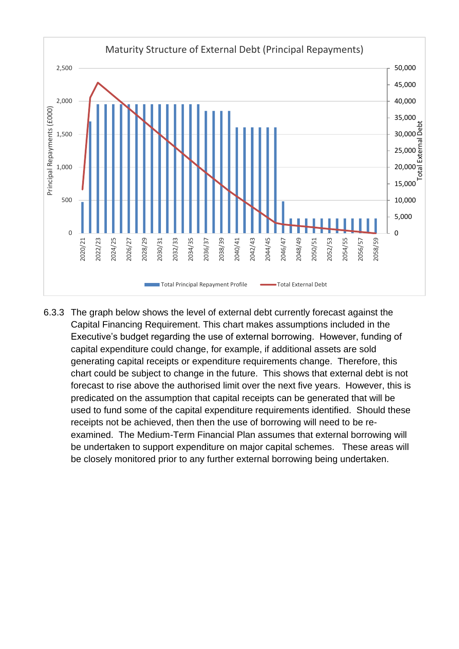

6.3.3 The graph below shows the level of external debt currently forecast against the Capital Financing Requirement. This chart makes assumptions included in the Executive's budget regarding the use of external borrowing. However, funding of capital expenditure could change, for example, if additional assets are sold generating capital receipts or expenditure requirements change. Therefore, this chart could be subject to change in the future. This shows that external debt is not forecast to rise above the authorised limit over the next five years. However, this is predicated on the assumption that capital receipts can be generated that will be used to fund some of the capital expenditure requirements identified. Should these receipts not be achieved, then then the use of borrowing will need to be reexamined. The Medium-Term Financial Plan assumes that external borrowing will be undertaken to support expenditure on major capital schemes. These areas will be closely monitored prior to any further external borrowing being undertaken.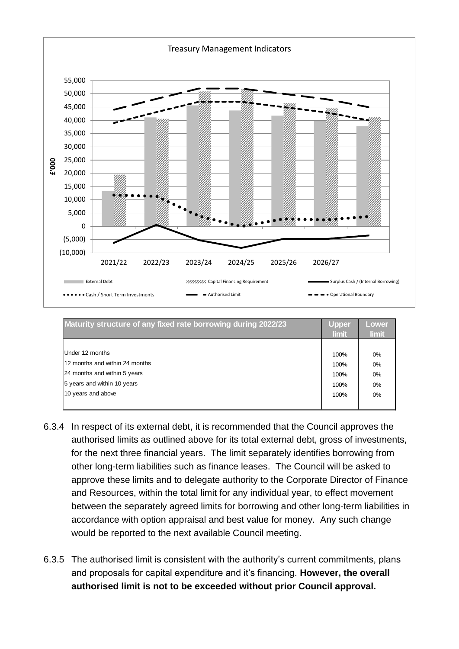

| Maturity structure of any fixed rate borrowing during 2022/23 | Upper<br><b>limit</b> | Lower<br><b>limit</b> |
|---------------------------------------------------------------|-----------------------|-----------------------|
|                                                               |                       |                       |
| Under 12 months                                               | 100%                  | 0%                    |
| 12 months and within 24 months                                | 100%                  | 0%                    |
| 24 months and within 5 years                                  | 100%                  | 0%                    |
| 5 years and within 10 years                                   | 100%                  | 0%                    |
| 10 years and above                                            | 100%                  | 0%                    |
|                                                               |                       |                       |

- 6.3.4 In respect of its external debt, it is recommended that the Council approves the authorised limits as outlined above for its total external debt, gross of investments, for the next three financial years. The limit separately identifies borrowing from other long-term liabilities such as finance leases. The Council will be asked to approve these limits and to delegate authority to the Corporate Director of Finance and Resources, within the total limit for any individual year, to effect movement between the separately agreed limits for borrowing and other long-term liabilities in accordance with option appraisal and best value for money. Any such change would be reported to the next available Council meeting.
- 6.3.5 The authorised limit is consistent with the authority's current commitments, plans and proposals for capital expenditure and it's financing. **However, the overall authorised limit is not to be exceeded without prior Council approval.**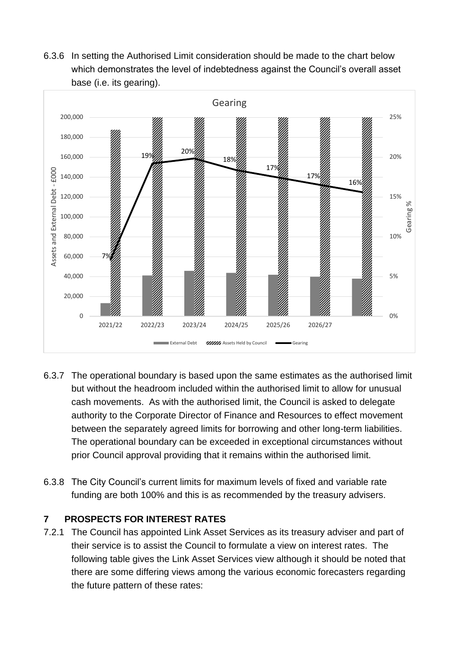6.3.6 In setting the Authorised Limit consideration should be made to the chart below which demonstrates the level of indebtedness against the Council's overall asset base (i.e. its gearing).



- 6.3.7 The operational boundary is based upon the same estimates as the authorised limit but without the headroom included within the authorised limit to allow for unusual cash movements. As with the authorised limit, the Council is asked to delegate authority to the Corporate Director of Finance and Resources to effect movement between the separately agreed limits for borrowing and other long-term liabilities. The operational boundary can be exceeded in exceptional circumstances without prior Council approval providing that it remains within the authorised limit.
- 6.3.8 The City Council's current limits for maximum levels of fixed and variable rate funding are both 100% and this is as recommended by the treasury advisers.

## **7 PROSPECTS FOR INTEREST RATES**

7.2.1 The Council has appointed Link Asset Services as its treasury adviser and part of their service is to assist the Council to formulate a view on interest rates. The following table gives the Link Asset Services view although it should be noted that there are some differing views among the various economic forecasters regarding the future pattern of these rates: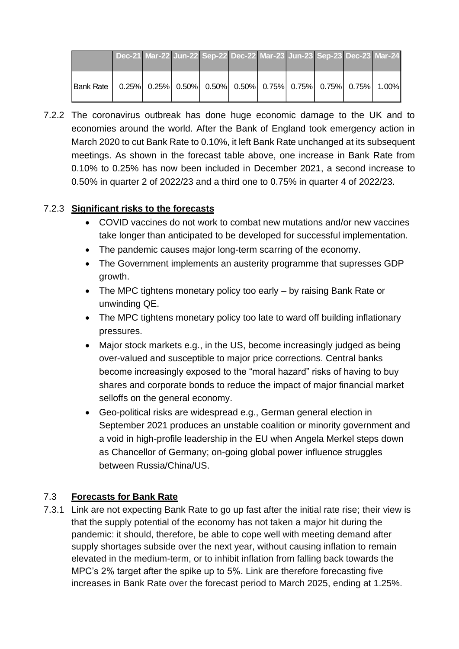|              | Dec-21 Mar-22 Jun-22 Sep-22 Dec-22 Mar-23 Jun-23 Sep-23 Dec-23 Mar-24 |  |                                                                                                                                                                                              |  |  |  |
|--------------|-----------------------------------------------------------------------|--|----------------------------------------------------------------------------------------------------------------------------------------------------------------------------------------------|--|--|--|
| IBank Rate I |                                                                       |  | $\vert 0.25\% \vert$ $\vert 0.25\% \vert$ $\vert 0.50\% \vert$ $\vert 0.50\% \vert$ $\vert 0.75\% \vert$ $\vert 0.75\% \vert$ $\vert 0.75\% \vert$ $\vert 0.75\% \vert$ $\vert 1.00\% \vert$ |  |  |  |

7.2.2 The coronavirus outbreak has done huge economic damage to the UK and to economies around the world. After the Bank of England took emergency action in March 2020 to cut Bank Rate to 0.10%, it left Bank Rate unchanged at its subsequent meetings. As shown in the forecast table above, one increase in Bank Rate from 0.10% to 0.25% has now been included in December 2021, a second increase to 0.50% in quarter 2 of 2022/23 and a third one to 0.75% in quarter 4 of 2022/23.

#### 7.2.3 **Significant risks to the forecasts**

- COVID vaccines do not work to combat new mutations and/or new vaccines take longer than anticipated to be developed for successful implementation.
- The pandemic causes major long-term scarring of the economy.
- The Government implements an austerity programme that supresses GDP growth.
- The MPC tightens monetary policy too early by raising Bank Rate or unwinding QE.
- The MPC tightens monetary policy too late to ward off building inflationary pressures.
- Major stock markets e.g., in the US, become increasingly judged as being over-valued and susceptible to major price corrections. Central banks become increasingly exposed to the "moral hazard" risks of having to buy shares and corporate bonds to reduce the impact of major financial market selloffs on the general economy.
- Geo-political risks are widespread e.g., German general election in September 2021 produces an unstable coalition or minority government and a void in high-profile leadership in the EU when Angela Merkel steps down as Chancellor of Germany; on-going global power influence struggles between Russia/China/US.

## 7.3 **Forecasts for Bank Rate**

7.3.1 Link are not expecting Bank Rate to go up fast after the initial rate rise; their view is that the supply potential of the economy has not taken a major hit during the pandemic: it should, therefore, be able to cope well with meeting demand after supply shortages subside over the next year, without causing inflation to remain elevated in the medium-term, or to inhibit inflation from falling back towards the MPC's 2% target after the spike up to 5%. Link are therefore forecasting five increases in Bank Rate over the forecast period to March 2025, ending at 1.25%.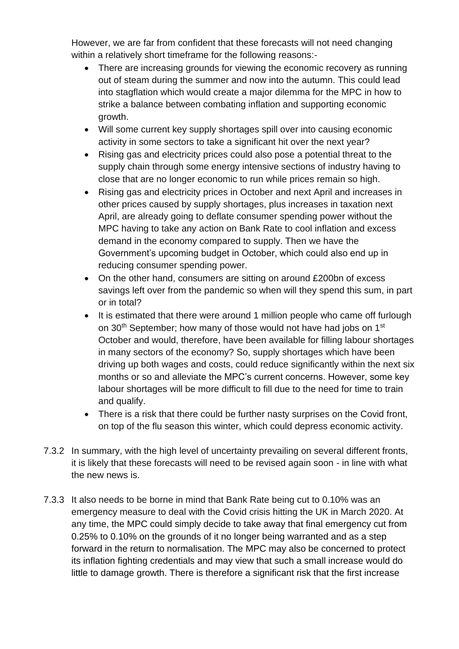However, we are far from confident that these forecasts will not need changing within a relatively short timeframe for the following reasons:-

- There are increasing grounds for viewing the economic recovery as running out of steam during the summer and now into the autumn. This could lead into stagflation which would create a major dilemma for the MPC in how to strike a balance between combating inflation and supporting economic growth.
- Will some current key supply shortages spill over into causing economic activity in some sectors to take a significant hit over the next year?
- Rising gas and electricity prices could also pose a potential threat to the supply chain through some energy intensive sections of industry having to close that are no longer economic to run while prices remain so high.
- Rising gas and electricity prices in October and next April and increases in other prices caused by supply shortages, plus increases in taxation next April, are already going to deflate consumer spending power without the MPC having to take any action on Bank Rate to cool inflation and excess demand in the economy compared to supply. Then we have the Government's upcoming budget in October, which could also end up in reducing consumer spending power.
- On the other hand, consumers are sitting on around £200bn of excess savings left over from the pandemic so when will they spend this sum, in part or in total?
- It is estimated that there were around 1 million people who came off furlough on 30<sup>th</sup> September; how many of those would not have had jobs on 1<sup>st</sup> October and would, therefore, have been available for filling labour shortages in many sectors of the economy? So, supply shortages which have been driving up both wages and costs, could reduce significantly within the next six months or so and alleviate the MPC's current concerns. However, some key labour shortages will be more difficult to fill due to the need for time to train and qualify.
- There is a risk that there could be further nasty surprises on the Covid front, on top of the flu season this winter, which could depress economic activity.
- 7.3.2 In summary, with the high level of uncertainty prevailing on several different fronts, it is likely that these forecasts will need to be revised again soon - in line with what the new news is.
- 7.3.3 It also needs to be borne in mind that Bank Rate being cut to 0.10% was an emergency measure to deal with the Covid crisis hitting the UK in March 2020. At any time, the MPC could simply decide to take away that final emergency cut from 0.25% to 0.10% on the grounds of it no longer being warranted and as a step forward in the return to normalisation. The MPC may also be concerned to protect its inflation fighting credentials and may view that such a small increase would do little to damage growth. There is therefore a significant risk that the first increase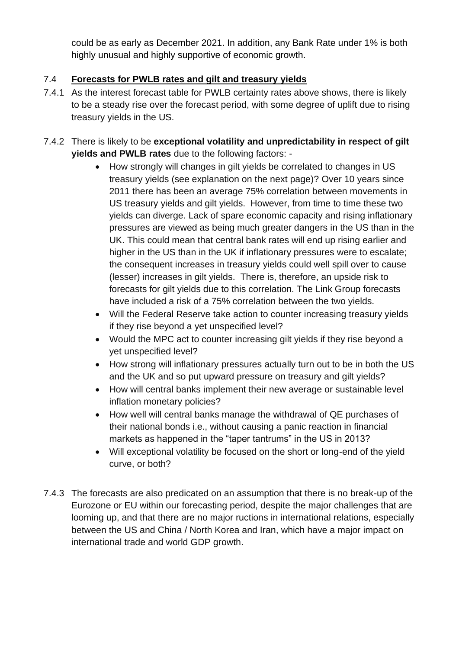could be as early as December 2021. In addition, any Bank Rate under 1% is both highly unusual and highly supportive of economic growth.

## 7.4 **Forecasts for PWLB rates and gilt and treasury yields**

- 7.4.1 As the interest forecast table for PWLB certainty rates above shows, there is likely to be a steady rise over the forecast period, with some degree of uplift due to rising treasury yields in the US.
- 7.4.2 There is likely to be **exceptional volatility and unpredictability in respect of gilt yields and PWLB rates** due to the following factors: -
	- How strongly will changes in gilt yields be correlated to changes in US treasury yields (see explanation on the next page)? Over 10 years since 2011 there has been an average 75% correlation between movements in US treasury yields and gilt yields. However, from time to time these two yields can diverge. Lack of spare economic capacity and rising inflationary pressures are viewed as being much greater dangers in the US than in the UK. This could mean that central bank rates will end up rising earlier and higher in the US than in the UK if inflationary pressures were to escalate; the consequent increases in treasury yields could well spill over to cause (lesser) increases in gilt yields. There is, therefore, an upside risk to forecasts for gilt yields due to this correlation. The Link Group forecasts have included a risk of a 75% correlation between the two yields.
	- Will the Federal Reserve take action to counter increasing treasury yields if they rise beyond a yet unspecified level?
	- Would the MPC act to counter increasing gilt yields if they rise beyond a yet unspecified level?
	- How strong will inflationary pressures actually turn out to be in both the US and the UK and so put upward pressure on treasury and gilt yields?
	- How will central banks implement their new average or sustainable level inflation monetary policies?
	- How well will central banks manage the withdrawal of QE purchases of their national bonds i.e., without causing a panic reaction in financial markets as happened in the "taper tantrums" in the US in 2013?
	- Will exceptional volatility be focused on the short or long-end of the yield curve, or both?
- 7.4.3 The forecasts are also predicated on an assumption that there is no break-up of the Eurozone or EU within our forecasting period, despite the major challenges that are looming up, and that there are no major ructions in international relations, especially between the US and China / North Korea and Iran, which have a major impact on international trade and world GDP growth.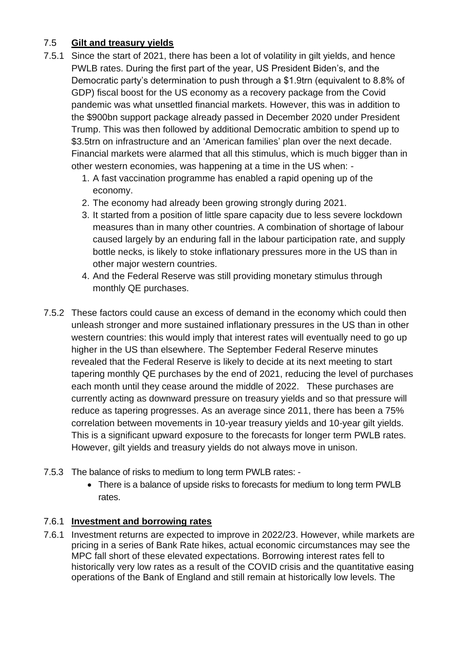## 7.5 **Gilt and treasury yields**

- 7.5.1 Since the start of 2021, there has been a lot of volatility in gilt yields, and hence PWLB rates. During the first part of the year, US President Biden's, and the Democratic party's determination to push through a \$1.9trn (equivalent to 8.8% of GDP) fiscal boost for the US economy as a recovery package from the Covid pandemic was what unsettled financial markets. However, this was in addition to the \$900bn support package already passed in December 2020 under President Trump. This was then followed by additional Democratic ambition to spend up to \$3.5trn on infrastructure and an 'American families' plan over the next decade. Financial markets were alarmed that all this stimulus, which is much bigger than in other western economies, was happening at a time in the US when: -
	- 1. A fast vaccination programme has enabled a rapid opening up of the economy.
	- 2. The economy had already been growing strongly during 2021.
	- 3. It started from a position of little spare capacity due to less severe lockdown measures than in many other countries. A combination of shortage of labour caused largely by an enduring fall in the labour participation rate, and supply bottle necks, is likely to stoke inflationary pressures more in the US than in other major western countries.
	- 4. And the Federal Reserve was still providing monetary stimulus through monthly QE purchases.
- 7.5.2 These factors could cause an excess of demand in the economy which could then unleash stronger and more sustained inflationary pressures in the US than in other western countries: this would imply that interest rates will eventually need to go up higher in the US than elsewhere. The September Federal Reserve minutes revealed that the Federal Reserve is likely to decide at its next meeting to start tapering monthly QE purchases by the end of 2021, reducing the level of purchases each month until they cease around the middle of 2022. These purchases are currently acting as downward pressure on treasury yields and so that pressure will reduce as tapering progresses. As an average since 2011, there has been a 75% correlation between movements in 10-year treasury yields and 10-year gilt yields. This is a significant upward exposure to the forecasts for longer term PWLB rates. However, gilt yields and treasury yields do not always move in unison.
- 7.5.3 The balance of risks to medium to long term PWLB rates:
	- There is a balance of upside risks to forecasts for medium to long term PWLB rates.

## 7.6.1 **Investment and borrowing rates**

7.6.1 Investment returns are expected to improve in 2022/23. However, while markets are pricing in a series of Bank Rate hikes, actual economic circumstances may see the MPC fall short of these elevated expectations. Borrowing interest rates fell to historically very low rates as a result of the COVID crisis and the quantitative easing operations of the Bank of England and still remain at historically low levels. The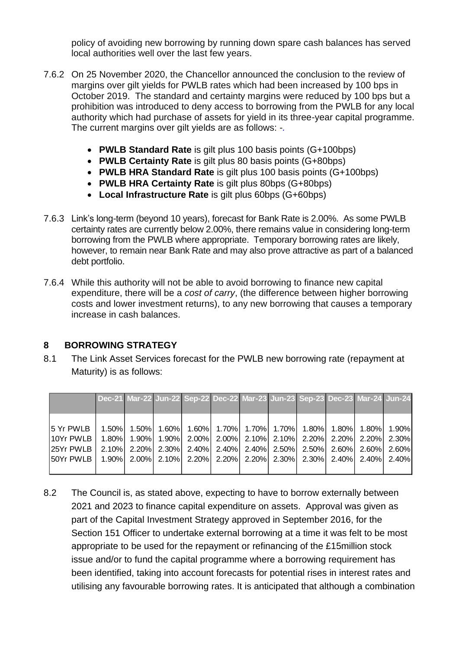policy of avoiding new borrowing by running down spare cash balances has served local authorities well over the last few years.

- 7.6.2 On 25 November 2020, the Chancellor announced the conclusion to the review of margins over gilt yields for PWLB rates which had been increased by 100 bps in October 2019. The standard and certainty margins were reduced by 100 bps but a prohibition was introduced to deny access to borrowing from the PWLB for any local authority which had purchase of assets for yield in its three-year capital programme. The current margins over gilt yields are as follows: -*.*
	- **PWLB Standard Rate** is gilt plus 100 basis points (G+100bps)
	- **PWLB Certainty Rate** is gilt plus 80 basis points (G+80bps)
	- **PWLB HRA Standard Rate** is gilt plus 100 basis points (G+100bps)
	- **PWLB HRA Certainty Rate** is gilt plus 80bps (G+80bps)
	- **Local Infrastructure Rate** is gilt plus 60bps (G+60bps)
- 7.6.3 Link's long-term (beyond 10 years), forecast for Bank Rate is 2.00%. As some PWLB certainty rates are currently below 2.00%, there remains value in considering long-term borrowing from the PWLB where appropriate. Temporary borrowing rates are likely, however, to remain near Bank Rate and may also prove attractive as part of a balanced debt portfolio.
- 7.6.4 While this authority will not be able to avoid borrowing to finance new capital expenditure, there will be a *cost of carry*, (the difference between higher borrowing costs and lower investment returns), to any new borrowing that causes a temporary increase in cash balances.

#### **8 BORROWING STRATEGY**

8.1 The Link Asset Services forecast for the PWLB new borrowing rate (repayment at Maturity) is as follows:

|                                                                                         |          |  | Dec-21 Mar-22 Jun-22 Sep-22 Dec-22 Mar-23 Jun-23 Sep-23 Dec-23 Mar-24 Jun-24     |  |  |  |  |
|-----------------------------------------------------------------------------------------|----------|--|----------------------------------------------------------------------------------|--|--|--|--|
|                                                                                         |          |  |                                                                                  |  |  |  |  |
|                                                                                         |          |  |                                                                                  |  |  |  |  |
| 5 Yr PWLB                                                                               | $1.50\%$ |  | 1.50% 1.60% 1.60% 1.70% 1.70% 1.70% 1.70% 1.80% 1.80% 1.80% 1.90%                |  |  |  |  |
| 10Yr PWLB I                                                                             | 1.80%    |  | $1.90\%$   1.90%   2.00%   2.00%   2.10%   2.10%   2.20%   2.20%   2.20%   2.30% |  |  |  |  |
| 125Yr PWLB 1                                                                            |          |  | $2.10\%$ 2.20% 2.30% 2.40% 2.40% 2.40% 2.50% 2.50% 2.60% 2.60% 2.60% 2.60%       |  |  |  |  |
| 50Yr PWLB   1.90%  2.00%  2.10%  2.20%  2.20%  2.20%  2.30%  2.30%  2.40%  2.40%  2.40% |          |  |                                                                                  |  |  |  |  |
|                                                                                         |          |  |                                                                                  |  |  |  |  |

8.2 The Council is, as stated above, expecting to have to borrow externally between 2021 and 2023 to finance capital expenditure on assets. Approval was given as part of the Capital Investment Strategy approved in September 2016, for the Section 151 Officer to undertake external borrowing at a time it was felt to be most appropriate to be used for the repayment or refinancing of the £15million stock issue and/or to fund the capital programme where a borrowing requirement has been identified, taking into account forecasts for potential rises in interest rates and utilising any favourable borrowing rates. It is anticipated that although a combination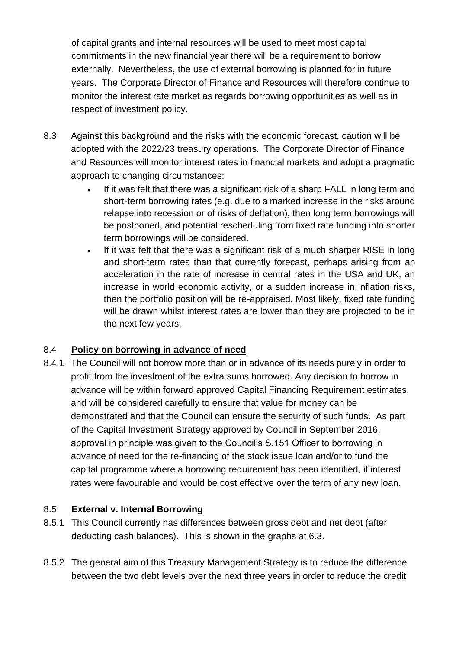of capital grants and internal resources will be used to meet most capital commitments in the new financial year there will be a requirement to borrow externally. Nevertheless, the use of external borrowing is planned for in future years. The Corporate Director of Finance and Resources will therefore continue to monitor the interest rate market as regards borrowing opportunities as well as in respect of investment policy.

- 8.3 Against this background and the risks with the economic forecast, caution will be adopted with the 2022/23 treasury operations. The Corporate Director of Finance and Resources will monitor interest rates in financial markets and adopt a pragmatic approach to changing circumstances:
	- If it was felt that there was a significant risk of a sharp FALL in long term and short-term borrowing rates (e.g. due to a marked increase in the risks around relapse into recession or of risks of deflation), then long term borrowings will be postponed, and potential rescheduling from fixed rate funding into shorter term borrowings will be considered.
	- If it was felt that there was a significant risk of a much sharper RISE in long and short-term rates than that currently forecast, perhaps arising from an acceleration in the rate of increase in central rates in the USA and UK, an increase in world economic activity, or a sudden increase in inflation risks, then the portfolio position will be re-appraised. Most likely, fixed rate funding will be drawn whilst interest rates are lower than they are projected to be in the next few years.

## 8.4 **Policy on borrowing in advance of need**

8.4.1 The Council will not borrow more than or in advance of its needs purely in order to profit from the investment of the extra sums borrowed. Any decision to borrow in advance will be within forward approved Capital Financing Requirement estimates, and will be considered carefully to ensure that value for money can be demonstrated and that the Council can ensure the security of such funds. As part of the Capital Investment Strategy approved by Council in September 2016, approval in principle was given to the Council's S.151 Officer to borrowing in advance of need for the re-financing of the stock issue loan and/or to fund the capital programme where a borrowing requirement has been identified, if interest rates were favourable and would be cost effective over the term of any new loan.

## 8.5 **External v. Internal Borrowing**

- 8.5.1 This Council currently has differences between gross debt and net debt (after deducting cash balances). This is shown in the graphs at 6.3.
- 8.5.2 The general aim of this Treasury Management Strategy is to reduce the difference between the two debt levels over the next three years in order to reduce the credit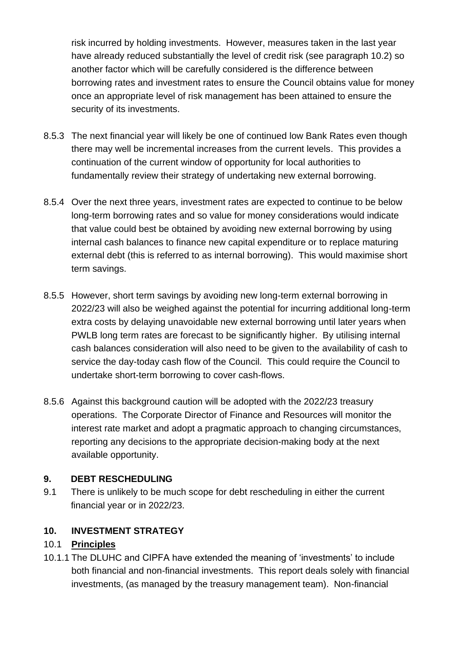risk incurred by holding investments. However, measures taken in the last year have already reduced substantially the level of credit risk (see paragraph 10.2) so another factor which will be carefully considered is the difference between borrowing rates and investment rates to ensure the Council obtains value for money once an appropriate level of risk management has been attained to ensure the security of its investments.

- 8.5.3 The next financial year will likely be one of continued low Bank Rates even though there may well be incremental increases from the current levels. This provides a continuation of the current window of opportunity for local authorities to fundamentally review their strategy of undertaking new external borrowing.
- 8.5.4 Over the next three years, investment rates are expected to continue to be below long-term borrowing rates and so value for money considerations would indicate that value could best be obtained by avoiding new external borrowing by using internal cash balances to finance new capital expenditure or to replace maturing external debt (this is referred to as internal borrowing). This would maximise short term savings.
- 8.5.5 However, short term savings by avoiding new long-term external borrowing in 2022/23 will also be weighed against the potential for incurring additional long-term extra costs by delaying unavoidable new external borrowing until later years when PWLB long term rates are forecast to be significantly higher. By utilising internal cash balances consideration will also need to be given to the availability of cash to service the day-today cash flow of the Council. This could require the Council to undertake short-term borrowing to cover cash-flows.
- 8.5.6 Against this background caution will be adopted with the 2022/23 treasury operations. The Corporate Director of Finance and Resources will monitor the interest rate market and adopt a pragmatic approach to changing circumstances, reporting any decisions to the appropriate decision-making body at the next available opportunity.

#### **9. DEBT RESCHEDULING**

9.1 There is unlikely to be much scope for debt rescheduling in either the current financial year or in 2022/23.

## **10. INVESTMENT STRATEGY**

## 10.1 **Principles**

10.1.1 The DLUHC and CIPFA have extended the meaning of 'investments' to include both financial and non-financial investments. This report deals solely with financial investments, (as managed by the treasury management team). Non-financial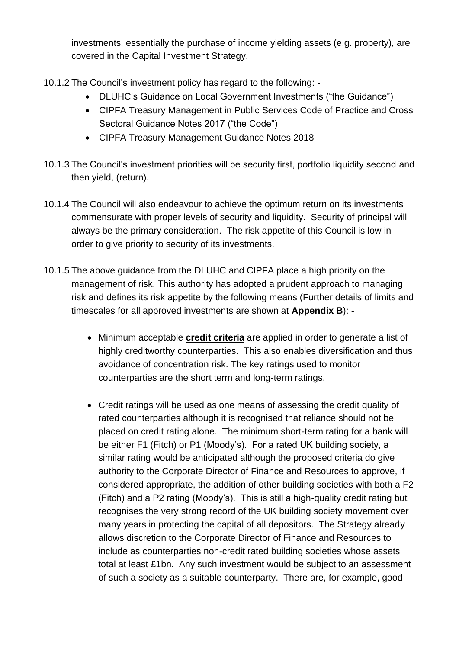investments, essentially the purchase of income yielding assets (e.g. property), are covered in the Capital Investment Strategy.

- 10.1.2 The Council's investment policy has regard to the following:
	- DLUHC's Guidance on Local Government Investments ("the Guidance")
	- CIPFA Treasury Management in Public Services Code of Practice and Cross Sectoral Guidance Notes 2017 ("the Code")
	- CIPFA Treasury Management Guidance Notes 2018
- 10.1.3 The Council's investment priorities will be security first, portfolio liquidity second and then yield, (return).
- 10.1.4 The Council will also endeavour to achieve the optimum return on its investments commensurate with proper levels of security and liquidity. Security of principal will always be the primary consideration. The risk appetite of this Council is low in order to give priority to security of its investments.
- 10.1.5 The above guidance from the DLUHC and CIPFA place a high priority on the management of risk. This authority has adopted a prudent approach to managing risk and defines its risk appetite by the following means (Further details of limits and timescales for all approved investments are shown at **Appendix B**): -
	- Minimum acceptable **credit criteria** are applied in order to generate a list of highly creditworthy counterparties. This also enables diversification and thus avoidance of concentration risk. The key ratings used to monitor counterparties are the short term and long-term ratings.
	- Credit ratings will be used as one means of assessing the credit quality of rated counterparties although it is recognised that reliance should not be placed on credit rating alone. The minimum short-term rating for a bank will be either F1 (Fitch) or P1 (Moody's). For a rated UK building society, a similar rating would be anticipated although the proposed criteria do give authority to the Corporate Director of Finance and Resources to approve, if considered appropriate, the addition of other building societies with both a F2 (Fitch) and a P2 rating (Moody's). This is still a high-quality credit rating but recognises the very strong record of the UK building society movement over many years in protecting the capital of all depositors. The Strategy already allows discretion to the Corporate Director of Finance and Resources to include as counterparties non-credit rated building societies whose assets total at least £1bn. Any such investment would be subject to an assessment of such a society as a suitable counterparty. There are, for example, good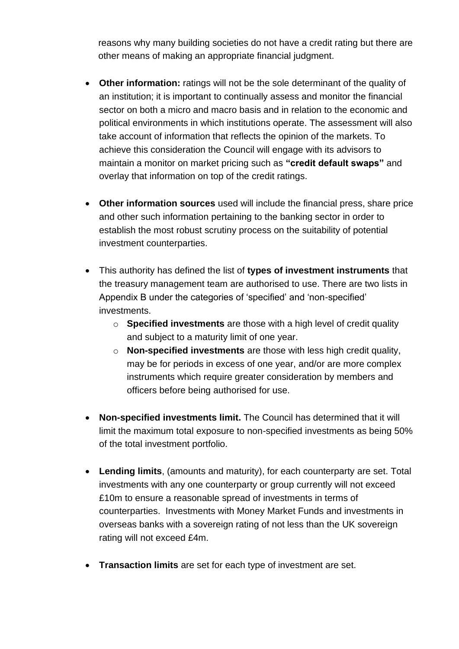reasons why many building societies do not have a credit rating but there are other means of making an appropriate financial judgment.

- **Other information:** ratings will not be the sole determinant of the quality of an institution; it is important to continually assess and monitor the financial sector on both a micro and macro basis and in relation to the economic and political environments in which institutions operate. The assessment will also take account of information that reflects the opinion of the markets. To achieve this consideration the Council will engage with its advisors to maintain a monitor on market pricing such as **"credit default swaps"** and overlay that information on top of the credit ratings.
- **Other information sources** used will include the financial press, share price and other such information pertaining to the banking sector in order to establish the most robust scrutiny process on the suitability of potential investment counterparties.
- This authority has defined the list of **types of investment instruments** that the treasury management team are authorised to use. There are two lists in Appendix B under the categories of 'specified' and 'non-specified' investments.
	- o **Specified investments** are those with a high level of credit quality and subject to a maturity limit of one year.
	- o **Non-specified investments** are those with less high credit quality, may be for periods in excess of one year, and/or are more complex instruments which require greater consideration by members and officers before being authorised for use.
- **Non-specified investments limit.** The Council has determined that it will limit the maximum total exposure to non-specified investments as being 50% of the total investment portfolio.
- **Lending limits**, (amounts and maturity), for each counterparty are set. Total investments with any one counterparty or group currently will not exceed £10m to ensure a reasonable spread of investments in terms of counterparties. Investments with Money Market Funds and investments in overseas banks with a sovereign rating of not less than the UK sovereign rating will not exceed £4m.
- **Transaction limits** are set for each type of investment are set.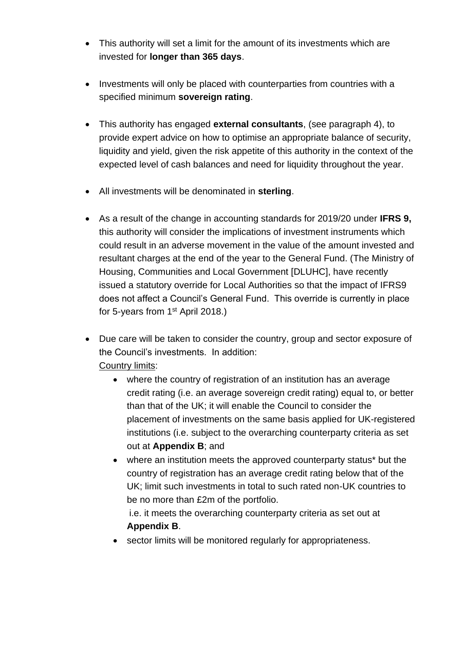- This authority will set a limit for the amount of its investments which are invested for **longer than 365 days**.
- Investments will only be placed with counterparties from countries with a specified minimum **sovereign rating**.
- This authority has engaged **external consultants**, (see paragraph 4), to provide expert advice on how to optimise an appropriate balance of security, liquidity and yield, given the risk appetite of this authority in the context of the expected level of cash balances and need for liquidity throughout the year.
- All investments will be denominated in **sterling**.
- As a result of the change in accounting standards for 2019/20 under **IFRS 9,** this authority will consider the implications of investment instruments which could result in an adverse movement in the value of the amount invested and resultant charges at the end of the year to the General Fund. (The Ministry of Housing, Communities and Local Government [DLUHC], have recently issued a statutory override for Local Authorities so that the impact of IFRS9 does not affect a Council's General Fund. This override is currently in place for 5-years from 1<sup>st</sup> April 2018.)
- Due care will be taken to consider the country, group and sector exposure of the Council's investments. In addition: Country limits:
	- where the country of registration of an institution has an average credit rating (i.e. an average sovereign credit rating) equal to, or better than that of the UK; it will enable the Council to consider the placement of investments on the same basis applied for UK-registered institutions (i.e. subject to the overarching counterparty criteria as set out at **Appendix B**; and
	- where an institution meets the approved counterparty status\* but the country of registration has an average credit rating below that of the UK; limit such investments in total to such rated non-UK countries to be no more than £2m of the portfolio.

i.e. it meets the overarching counterparty criteria as set out at **Appendix B**.

• sector limits will be monitored regularly for appropriateness.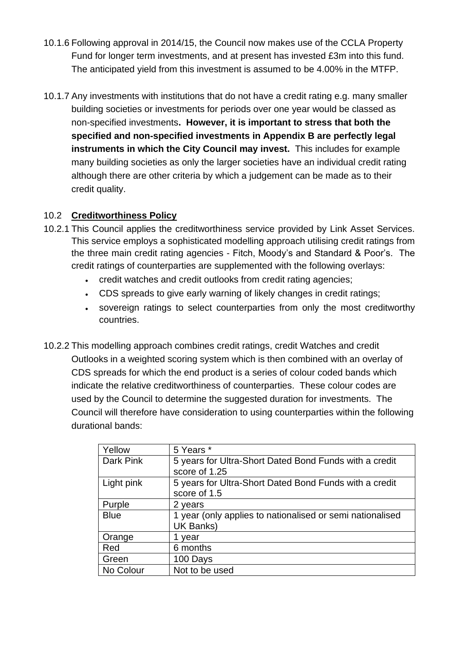- 10.1.6 Following approval in 2014/15, the Council now makes use of the CCLA Property Fund for longer term investments, and at present has invested £3m into this fund. The anticipated yield from this investment is assumed to be 4.00% in the MTFP.
- 10.1.7 Any investments with institutions that do not have a credit rating e.g. many smaller building societies or investments for periods over one year would be classed as non-specified investments**. However, it is important to stress that both the specified and non-specified investments in Appendix B are perfectly legal instruments in which the City Council may invest.** This includes for example many building societies as only the larger societies have an individual credit rating although there are other criteria by which a judgement can be made as to their credit quality.

## 10.2 **Creditworthiness Policy**

- 10.2.1 This Council applies the creditworthiness service provided by Link Asset Services. This service employs a sophisticated modelling approach utilising credit ratings from the three main credit rating agencies - Fitch, Moody's and Standard & Poor's. The credit ratings of counterparties are supplemented with the following overlays:
	- credit watches and credit outlooks from credit rating agencies;
	- CDS spreads to give early warning of likely changes in credit ratings:
	- sovereign ratings to select counterparties from only the most creditworthy countries.
- 10.2.2 This modelling approach combines credit ratings, credit Watches and credit Outlooks in a weighted scoring system which is then combined with an overlay of CDS spreads for which the end product is a series of colour coded bands which indicate the relative creditworthiness of counterparties. These colour codes are used by the Council to determine the suggested duration for investments. The Council will therefore have consideration to using counterparties within the following durational bands:

| Yellow      | 5 Years *                                                               |
|-------------|-------------------------------------------------------------------------|
| Dark Pink   | 5 years for Ultra-Short Dated Bond Funds with a credit<br>score of 1.25 |
| Light pink  | 5 years for Ultra-Short Dated Bond Funds with a credit<br>score of 1.5  |
| Purple      | 2 years                                                                 |
| <b>Blue</b> | 1 year (only applies to nationalised or semi nationalised<br>UK Banks)  |
| Orange      | year                                                                    |
| Red         | 6 months                                                                |
| Green       | 100 Days                                                                |
| No Colour   | Not to be used                                                          |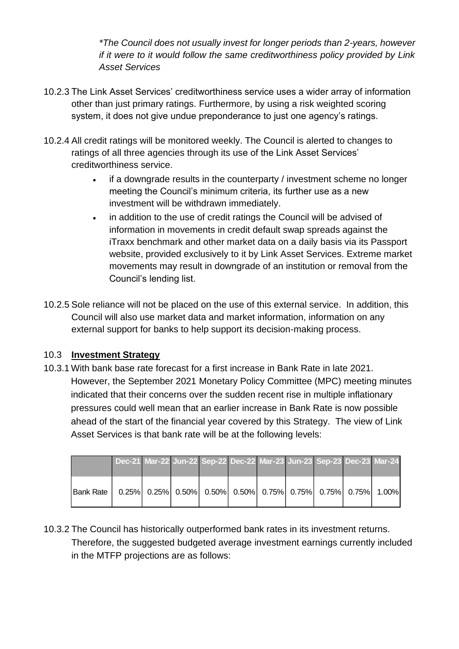*\*The Council does not usually invest for longer periods than 2-years, however if it were to it would follow the same creditworthiness policy provided by Link Asset Services*

- 10.2.3 The Link Asset Services' creditworthiness service uses a wider array of information other than just primary ratings. Furthermore, by using a risk weighted scoring system, it does not give undue preponderance to just one agency's ratings.
- 10.2.4 All credit ratings will be monitored weekly. The Council is alerted to changes to ratings of all three agencies through its use of the Link Asset Services' creditworthiness service.
	- if a downgrade results in the counterparty / investment scheme no longer meeting the Council's minimum criteria, its further use as a new investment will be withdrawn immediately.
	- in addition to the use of credit ratings the Council will be advised of information in movements in credit default swap spreads against the iTraxx benchmark and other market data on a daily basis via its Passport website, provided exclusively to it by Link Asset Services. Extreme market movements may result in downgrade of an institution or removal from the Council's lending list.
- 10.2.5 Sole reliance will not be placed on the use of this external service. In addition, this Council will also use market data and market information, information on any external support for banks to help support its decision-making process.

## 10.3 **Investment Strategy**

10.3.1 With bank base rate forecast for a first increase in Bank Rate in late 2021. However, the September 2021 Monetary Policy Committee (MPC) meeting minutes indicated that their concerns over the sudden recent rise in multiple inflationary pressures could well mean that an earlier increase in Bank Rate is now possible ahead of the start of the financial year covered by this Strategy. The view of Link Asset Services is that bank rate will be at the following levels:

|           | Dec-21 Mar-22 Jun-22 Sep-22 Dec-22 Mar-23 Jun-23 Sep-23 Dec-23 Mar-24 |  |                                                                                                                                                                                              |  |  |  |
|-----------|-----------------------------------------------------------------------|--|----------------------------------------------------------------------------------------------------------------------------------------------------------------------------------------------|--|--|--|
| Bank Rate |                                                                       |  | $\vert 0.25\% \vert$ $\vert 0.25\% \vert$ $\vert 0.50\% \vert$ $\vert 0.50\% \vert$ $\vert 0.75\% \vert$ $\vert 0.75\% \vert$ $\vert 0.75\% \vert$ $\vert 0.75\% \vert$ $\vert 1.00\% \vert$ |  |  |  |

10.3.2 The Council has historically outperformed bank rates in its investment returns. Therefore, the suggested budgeted average investment earnings currently included in the MTFP projections are as follows: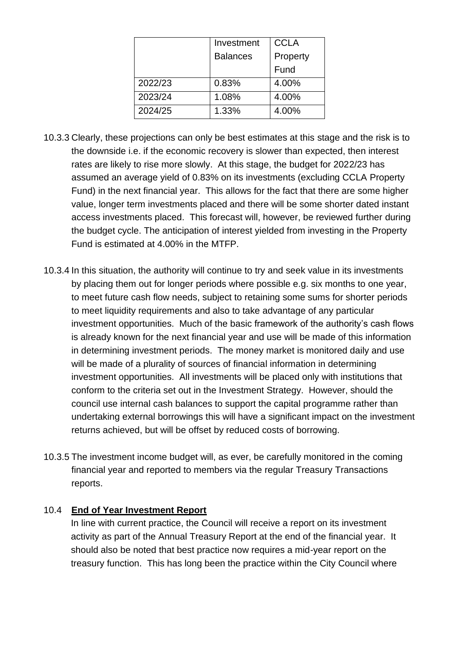|         | Investment      | <b>CCLA</b> |
|---------|-----------------|-------------|
|         | <b>Balances</b> | Property    |
|         |                 | Fund        |
| 2022/23 | 0.83%           | 4.00%       |
| 2023/24 | 1.08%           | 4.00%       |
| 2024/25 | 1.33%           | 4.00%       |

- 10.3.3 Clearly, these projections can only be best estimates at this stage and the risk is to the downside i.e. if the economic recovery is slower than expected, then interest rates are likely to rise more slowly. At this stage, the budget for 2022/23 has assumed an average yield of 0.83% on its investments (excluding CCLA Property Fund) in the next financial year. This allows for the fact that there are some higher value, longer term investments placed and there will be some shorter dated instant access investments placed. This forecast will, however, be reviewed further during the budget cycle. The anticipation of interest yielded from investing in the Property Fund is estimated at 4.00% in the MTFP.
- 10.3.4 In this situation, the authority will continue to try and seek value in its investments by placing them out for longer periods where possible e.g. six months to one year, to meet future cash flow needs, subject to retaining some sums for shorter periods to meet liquidity requirements and also to take advantage of any particular investment opportunities. Much of the basic framework of the authority's cash flows is already known for the next financial year and use will be made of this information in determining investment periods. The money market is monitored daily and use will be made of a plurality of sources of financial information in determining investment opportunities. All investments will be placed only with institutions that conform to the criteria set out in the Investment Strategy. However, should the council use internal cash balances to support the capital programme rather than undertaking external borrowings this will have a significant impact on the investment returns achieved, but will be offset by reduced costs of borrowing.
- 10.3.5 The investment income budget will, as ever, be carefully monitored in the coming financial year and reported to members via the regular Treasury Transactions reports.

#### 10.4 **End of Year Investment Report**

In line with current practice, the Council will receive a report on its investment activity as part of the Annual Treasury Report at the end of the financial year. It should also be noted that best practice now requires a mid-year report on the treasury function. This has long been the practice within the City Council where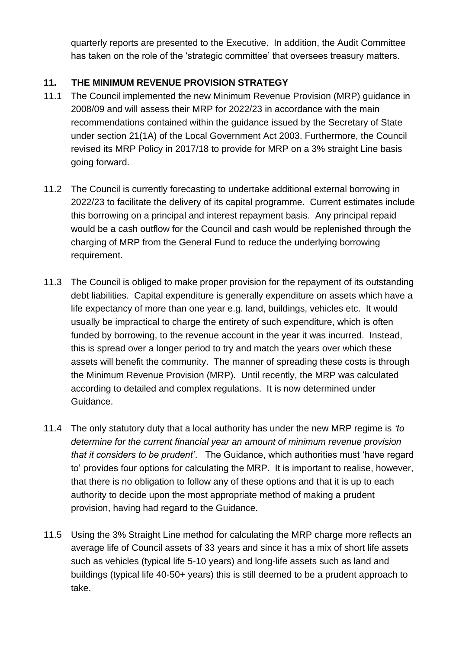quarterly reports are presented to the Executive. In addition, the Audit Committee has taken on the role of the 'strategic committee' that oversees treasury matters.

## **11. THE MINIMUM REVENUE PROVISION STRATEGY**

- 11.1 The Council implemented the new Minimum Revenue Provision (MRP) guidance in 2008/09 and will assess their MRP for 2022/23 in accordance with the main recommendations contained within the guidance issued by the Secretary of State under section 21(1A) of the Local Government Act 2003. Furthermore, the Council revised its MRP Policy in 2017/18 to provide for MRP on a 3% straight Line basis going forward.
- 11.2 The Council is currently forecasting to undertake additional external borrowing in 2022/23 to facilitate the delivery of its capital programme. Current estimates include this borrowing on a principal and interest repayment basis. Any principal repaid would be a cash outflow for the Council and cash would be replenished through the charging of MRP from the General Fund to reduce the underlying borrowing requirement.
- 11.3 The Council is obliged to make proper provision for the repayment of its outstanding debt liabilities. Capital expenditure is generally expenditure on assets which have a life expectancy of more than one year e.g. land, buildings, vehicles etc. It would usually be impractical to charge the entirety of such expenditure, which is often funded by borrowing, to the revenue account in the year it was incurred. Instead, this is spread over a longer period to try and match the years over which these assets will benefit the community. The manner of spreading these costs is through the Minimum Revenue Provision (MRP). Until recently, the MRP was calculated according to detailed and complex regulations. It is now determined under Guidance.
- 11.4 The only statutory duty that a local authority has under the new MRP regime is *'to determine for the current financial year an amount of minimum revenue provision that it considers to be prudent'*. The Guidance, which authorities must 'have regard to' provides four options for calculating the MRP. It is important to realise, however, that there is no obligation to follow any of these options and that it is up to each authority to decide upon the most appropriate method of making a prudent provision, having had regard to the Guidance.
- 11.5 Using the 3% Straight Line method for calculating the MRP charge more reflects an average life of Council assets of 33 years and since it has a mix of short life assets such as vehicles (typical life 5-10 years) and long-life assets such as land and buildings (typical life 40-50+ years) this is still deemed to be a prudent approach to take.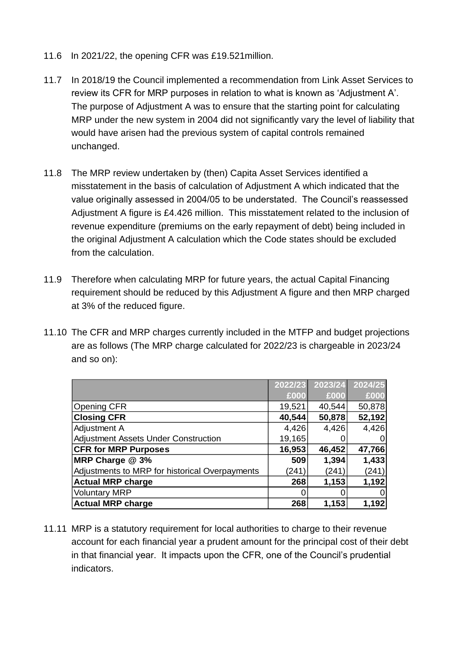- 11.6 In 2021/22, the opening CFR was £19.521million.
- 11.7 In 2018/19 the Council implemented a recommendation from Link Asset Services to review its CFR for MRP purposes in relation to what is known as 'Adjustment A'. The purpose of Adjustment A was to ensure that the starting point for calculating MRP under the new system in 2004 did not significantly vary the level of liability that would have arisen had the previous system of capital controls remained unchanged.
- 11.8 The MRP review undertaken by (then) Capita Asset Services identified a misstatement in the basis of calculation of Adjustment A which indicated that the value originally assessed in 2004/05 to be understated. The Council's reassessed Adjustment A figure is £4.426 million. This misstatement related to the inclusion of revenue expenditure (premiums on the early repayment of debt) being included in the original Adjustment A calculation which the Code states should be excluded from the calculation.
- 11.9 Therefore when calculating MRP for future years, the actual Capital Financing requirement should be reduced by this Adjustment A figure and then MRP charged at 3% of the reduced figure.
- 11.10 The CFR and MRP charges currently included in the MTFP and budget projections are as follows (The MRP charge calculated for 2022/23 is chargeable in 2023/24 and so on):

|                                                | 2022/23 | 2023/24 | 2024/25 |
|------------------------------------------------|---------|---------|---------|
|                                                | £000    | £000    | £000    |
| Opening CFR                                    | 19,521  | 40,544  | 50,878  |
| <b>Closing CFR</b>                             | 40,544  | 50,878  | 52,192  |
| Adjustment A                                   | 4,426   | 4,426   | 4,426   |
| Adjustment Assets Under Construction           | 19,165  |         |         |
| <b>CFR for MRP Purposes</b>                    | 16,953  | 46,452  | 47,766  |
| MRP Charge @ 3%                                | 509     | 1,394   | 1,433   |
| Adjustments to MRP for historical Overpayments | (241)   | (241)   | (241)   |
| <b>Actual MRP charge</b>                       | 268     | 1,153   | 1,192   |
| <b>Voluntary MRP</b>                           |         |         | 0       |
| <b>Actual MRP charge</b>                       | 268     | 1,153   | 1,192   |

11.11 MRP is a statutory requirement for local authorities to charge to their revenue account for each financial year a prudent amount for the principal cost of their debt in that financial year. It impacts upon the CFR, one of the Council's prudential indicators.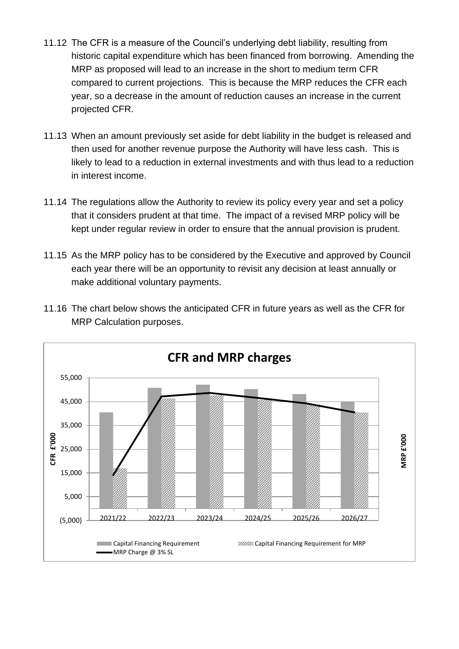- 11.12 The CFR is a measure of the Council's underlying debt liability, resulting from historic capital expenditure which has been financed from borrowing. Amending the MRP as proposed will lead to an increase in the short to medium term CFR compared to current projections. This is because the MRP reduces the CFR each year, so a decrease in the amount of reduction causes an increase in the current projected CFR.
- 11.13 When an amount previously set aside for debt liability in the budget is released and then used for another revenue purpose the Authority will have less cash. This is likely to lead to a reduction in external investments and with thus lead to a reduction in interest income.
- 11.14 The regulations allow the Authority to review its policy every year and set a policy that it considers prudent at that time. The impact of a revised MRP policy will be kept under regular review in order to ensure that the annual provision is prudent.
- 11.15 As the MRP policy has to be considered by the Executive and approved by Council each year there will be an opportunity to revisit any decision at least annually or make additional voluntary payments.



11.16 The chart below shows the anticipated CFR in future years as well as the CFR for MRP Calculation purposes.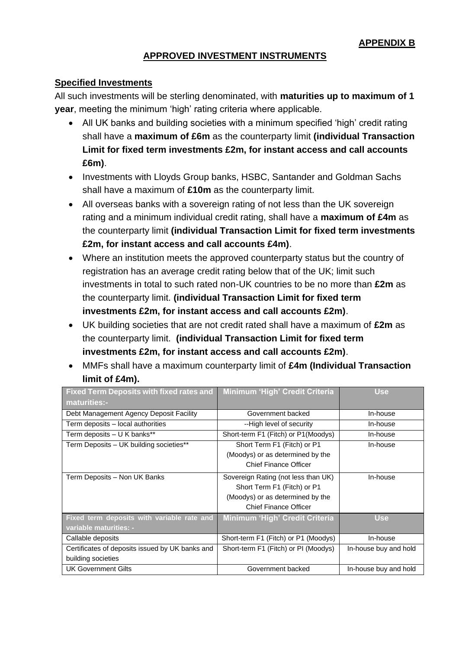#### **APPROVED INVESTMENT INSTRUMENTS**

#### **Specified Investments**

All such investments will be sterling denominated, with **maturities up to maximum of 1 year**, meeting the minimum 'high' rating criteria where applicable.

- All UK banks and building societies with a minimum specified 'high' credit rating shall have a **maximum of £6m** as the counterparty limit **(individual Transaction Limit for fixed term investments £2m, for instant access and call accounts £6m)**.
- Investments with Lloyds Group banks, HSBC, Santander and Goldman Sachs shall have a maximum of **£10m** as the counterparty limit.
- All overseas banks with a sovereign rating of not less than the UK sovereign rating and a minimum individual credit rating, shall have a **maximum of £4m** as the counterparty limit **(individual Transaction Limit for fixed term investments £2m, for instant access and call accounts £4m)**.
- Where an institution meets the approved counterparty status but the country of registration has an average credit rating below that of the UK; limit such investments in total to such rated non-UK countries to be no more than **£2m** as the counterparty limit. **(individual Transaction Limit for fixed term investments £2m, for instant access and call accounts £2m)**.
- UK building societies that are not credit rated shall have a maximum of **£2m** as the counterparty limit. **(individual Transaction Limit for fixed term investments £2m, for instant access and call accounts £2m)**.
- MMFs shall have a maximum counterparty limit of **£4m (Individual Transaction limit of £4m).**

| <b>Fixed Term Deposits with fixed rates and</b><br>maturities:- | Minimum 'High' Credit Criteria        | <b>Use</b>            |
|-----------------------------------------------------------------|---------------------------------------|-----------------------|
|                                                                 |                                       |                       |
| Debt Management Agency Deposit Facility                         | Government backed                     | In-house              |
| Term deposits - local authorities                               | --High level of security              | In-house              |
| Term deposits - U K banks**                                     | Short-term F1 (Fitch) or P1 (Moodys)  | In-house              |
| Term Deposits - UK building societies**                         | Short Term F1 (Fitch) or P1           | In-house              |
|                                                                 | (Moodys) or as determined by the      |                       |
|                                                                 | Chief Finance Officer                 |                       |
| Term Deposits - Non UK Banks                                    | Sovereign Rating (not less than UK)   | In-house              |
|                                                                 | Short Term F1 (Fitch) or P1           |                       |
|                                                                 | (Moodys) or as determined by the      |                       |
|                                                                 | Chief Finance Officer                 |                       |
| Fixed term deposits with variable rate and                      | <b>Minimum 'High' Credit Criteria</b> | <b>Use</b>            |
| variable maturities: -                                          |                                       |                       |
| Callable deposits                                               | Short-term F1 (Fitch) or P1 (Moodys)  | In-house              |
| Certificates of deposits issued by UK banks and                 | Short-term F1 (Fitch) or PI (Moodys)  | In-house buy and hold |
| building societies                                              |                                       |                       |
| <b>UK Government Gilts</b>                                      | Government backed                     | In-house buy and hold |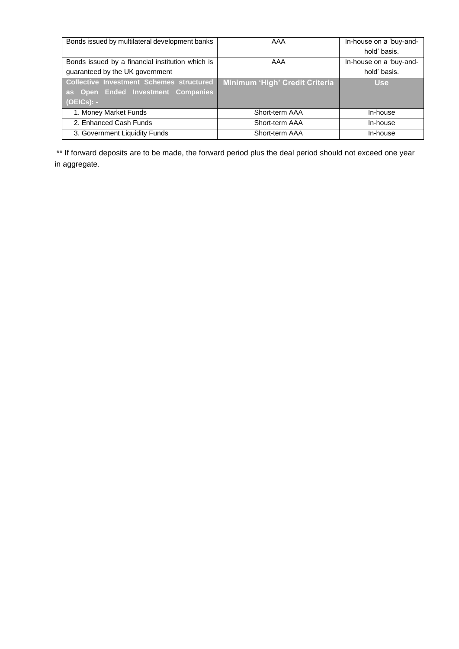| Bonds issued by multilateral development banks   | AAA                            | In-house on a 'buy-and- |
|--------------------------------------------------|--------------------------------|-------------------------|
|                                                  |                                | hold' basis.            |
| Bonds issued by a financial institution which is | AAA                            | In-house on a 'buy-and- |
| guaranteed by the UK government                  |                                | hold' basis.            |
| <b>Collective Investment Schemes structured</b>  | Minimum 'High' Credit Criteria | <b>Use</b>              |
| as Open Ended Investment Companies               |                                |                         |
| $(OEICs): -$                                     |                                |                         |
| 1. Money Market Funds                            | Short-term AAA                 | In-house                |
| 2. Enhanced Cash Funds                           | Short-term AAA                 | In-house                |
| 3. Government Liquidity Funds                    | Short-term AAA                 | In-house                |

\*\* If forward deposits are to be made, the forward period plus the deal period should not exceed one year in aggregate.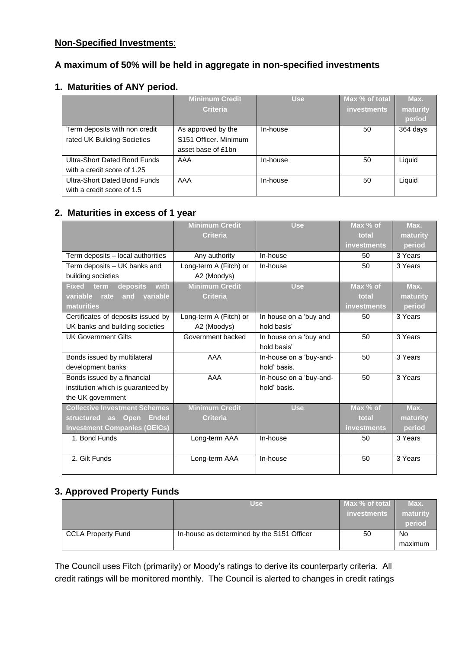#### **Non-Specified Investments**:

#### **A maximum of 50% will be held in aggregate in non-specified investments**

#### **1. Maturities of ANY period.**

|                                                              | <b>Minimum Credit</b><br><b>Criteria</b>                                      | <b>Use</b> | Max % of total<br><b>investments</b> | Max.<br>maturity |
|--------------------------------------------------------------|-------------------------------------------------------------------------------|------------|--------------------------------------|------------------|
|                                                              |                                                                               |            |                                      | period           |
| Term deposits with non credit<br>rated UK Building Societies | As approved by the<br>S <sub>151</sub> Officer, Minimum<br>asset base of £1bn | In-house   | 50                                   | 364 days         |
| Ultra-Short Dated Bond Funds<br>with a credit score of 1.25  | AAA                                                                           | In-house   | 50                                   | Liquid           |
| Ultra-Short Dated Bond Funds<br>with a credit score of 1.5   | AAA                                                                           | In-house   | 50                                   | Liquid           |

#### **2. Maturities in excess of 1 year**

|                                          | <b>Minimum Credit</b>  | <b>Use</b>              | Max % of           | Max.     |
|------------------------------------------|------------------------|-------------------------|--------------------|----------|
|                                          | <b>Criteria</b>        |                         | total              | maturity |
|                                          |                        |                         | <b>investments</b> | period   |
| Term deposits - local authorities        | Any authority          | In-house                | 50                 | 3 Years  |
| Term deposits - UK banks and             | Long-term A (Fitch) or | In-house                | 50                 | 3 Years  |
| building societies                       | A2 (Moodys)            |                         |                    |          |
| with<br>deposits<br><b>Fixed</b><br>term | <b>Minimum Credit</b>  | <b>Use</b>              | Max % of           | Max.     |
| variable<br>variable<br>rate<br>and      | <b>Criteria</b>        |                         | total              | maturity |
| maturities                               |                        |                         | <b>investments</b> | period   |
| Certificates of deposits issued by       | Long-term A (Fitch) or | In house on a 'buy and  | 50                 | 3 Years  |
| UK banks and building societies          | A2 (Moodys)            | hold basis'             |                    |          |
| <b>UK Government Gilts</b>               | Government backed      | In house on a 'buy and  | 50                 | 3 Years  |
|                                          |                        | hold basis'             |                    |          |
| Bonds issued by multilateral             | AAA                    | In-house on a 'buy-and- | 50                 | 3 Years  |
| development banks                        |                        | hold' basis.            |                    |          |
| Bonds issued by a financial              | AAA                    | In-house on a 'buy-and- | 50                 | 3 Years  |
| institution which is guaranteed by       |                        | hold' basis.            |                    |          |
| the UK government                        |                        |                         |                    |          |
| <b>Collective Investment Schemes</b>     | <b>Minimum Credit</b>  | <b>Use</b>              | Max % of           | Max.     |
| structured as Open<br><b>Ended</b>       | <b>Criteria</b>        |                         | total              | maturity |
| <b>Investment Companies (OEICs)</b>      |                        |                         | <b>investments</b> | period   |
| 1. Bond Funds                            | Long-term AAA          | In-house                | 50                 | 3 Years  |
|                                          |                        |                         |                    |          |
| 2. Gilt Funds                            | Long-term AAA          | In-house                | 50                 | 3 Years  |
|                                          |                        |                         |                    |          |

#### **3. Approved Property Funds**

|                           | <b>Use</b>                                 | Max % of total | Max.     |
|---------------------------|--------------------------------------------|----------------|----------|
|                           |                                            | investments    | maturity |
|                           |                                            |                | period   |
| <b>CCLA Property Fund</b> | In-house as determined by the S151 Officer | 50             | No       |
|                           |                                            |                | maximum  |

The Council uses Fitch (primarily) or Moody's ratings to derive its counterparty criteria. All credit ratings will be monitored monthly. The Council is alerted to changes in credit ratings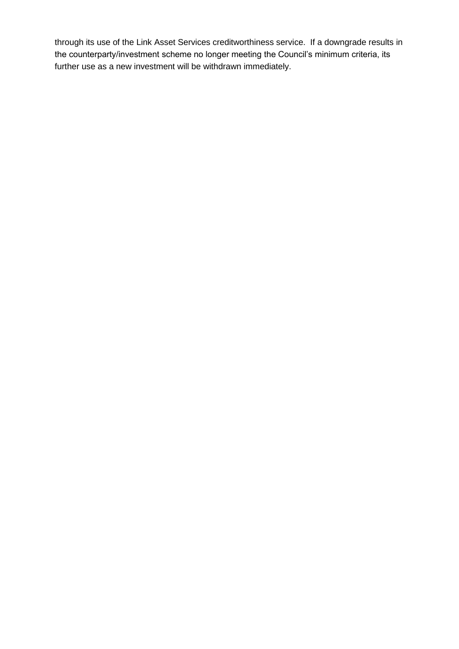through its use of the Link Asset Services creditworthiness service. If a downgrade results in the counterparty/investment scheme no longer meeting the Council's minimum criteria, its further use as a new investment will be withdrawn immediately.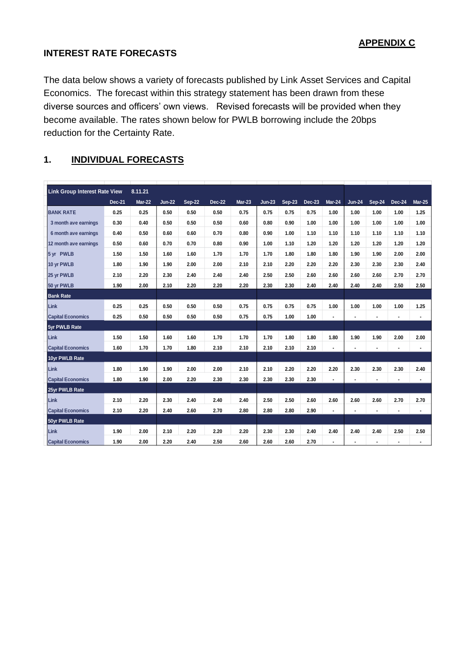#### **INTEREST RATE FORECASTS**

The data below shows a variety of forecasts published by Link Asset Services and Capital Economics. The forecast within this strategy statement has been drawn from these diverse sources and officers' own views. Revised forecasts will be provided when they become available. The rates shown below for PWLB borrowing include the 20bps reduction for the Certainty Rate.

## **1. INDIVIDUAL FORECASTS**

| <b>Link Group Interest Rate View</b> |        | 8.11.21       |               |               |        |          |          |        |               |                |                |                |                |                |
|--------------------------------------|--------|---------------|---------------|---------------|--------|----------|----------|--------|---------------|----------------|----------------|----------------|----------------|----------------|
|                                      | Dec-21 | <b>Mar-22</b> | <b>Jun-22</b> | <b>Sep-22</b> | Dec-22 | $Mar-23$ | $Jun-23$ | Sep-23 | <b>Dec-23</b> | Mar-24         | <b>Jun-24</b>  | Sep-24         | <b>Dec-24</b>  | <b>Mar-25</b>  |
| <b>BANK RATE</b>                     | 0.25   | 0.25          | 0.50          | 0.50          | 0.50   | 0.75     | 0.75     | 0.75   | 0.75          | 1.00           | 1.00           | 1.00           | 1.00           | 1.25           |
| 3 month ave earnings                 | 0.30   | 0.40          | 0.50          | 0.50          | 0.50   | 0.60     | 0.80     | 0.90   | 1.00          | 1.00           | 1.00           | 1.00           | 1.00           | 1.00           |
| 6 month ave earnings                 | 0.40   | 0.50          | 0.60          | 0.60          | 0.70   | 0.80     | 0.90     | 1.00   | 1.10          | 1.10           | 1.10           | 1.10           | 1.10           | 1.10           |
| 12 month ave earnings                | 0.50   | 0.60          | 0.70          | 0.70          | 0.80   | 0.90     | 1.00     | 1.10   | 1.20          | 1.20           | 1.20           | 1.20           | 1.20           | 1.20           |
| 5 yr PWLB                            | 1.50   | 1.50          | 1.60          | 1.60          | 1.70   | 1.70     | 1.70     | 1.80   | 1.80          | 1.80           | 1.90           | 1.90           | 2.00           | 2.00           |
| 10 yr PWLB                           | 1.80   | 1.90          | 1.90          | 2.00          | 2.00   | 2.10     | 2.10     | 2.20   | 2.20          | 2.20           | 2.30           | 2.30           | 2.30           | 2.40           |
| 25 yr PWLB                           | 2.10   | 2.20          | 2.30          | 2.40          | 2.40   | 2.40     | 2.50     | 2.50   | 2.60          | 2.60           | 2.60           | 2.60           | 2.70           | 2.70           |
| 50 yr PWLB                           | 1.90   | 2.00          | 2.10          | 2.20          | 2.20   | 2.20     | 2.30     | 2.30   | 2.40          | 2.40           | 2.40           | 2.40           | 2.50           | 2.50           |
| <b>Bank Rate</b>                     |        |               |               |               |        |          |          |        |               |                |                |                |                |                |
| Link                                 | 0.25   | 0.25          | 0.50          | 0.50          | 0.50   | 0.75     | 0.75     | 0.75   | 0.75          | 1.00           | 1.00           | 1.00           | 1.00           | 1.25           |
| <b>Capital Economics</b>             | 0.25   | 0.50          | 0.50          | 0.50          | 0.50   | 0.75     | 0.75     | 1.00   | 1.00          | $\blacksquare$ | $\blacksquare$ | $\blacksquare$ |                | $\blacksquare$ |
| 5yr PWLB Rate                        |        |               |               |               |        |          |          |        |               |                |                |                |                |                |
| Link                                 | 1.50   | 1.50          | 1.60          | 1.60          | 1.70   | 1.70     | 1.70     | 1.80   | 1.80          | 1.80           | 1.90           | 1.90           | 2.00           | 2.00           |
| <b>Capital Economics</b>             | 1.60   | 1.70          | 1.70          | 1.80          | 2.10   | 2.10     | 2.10     | 2.10   | 2.10          | $\blacksquare$ | ٠              | $\blacksquare$ |                | $\blacksquare$ |
| 10yr PWLB Rate                       |        |               |               |               |        |          |          |        |               |                |                |                |                |                |
| Link                                 | 1.80   | 1.90          | 1.90          | 2.00          | 2.00   | 2.10     | 2.10     | 2.20   | 2.20          | 2.20           | 2.30           | 2.30           | 2.30           | 2.40           |
| <b>Capital Economics</b>             | 1.80   | 1.90          | 2.00          | 2.20          | 2.30   | 2.30     | 2.30     | 2.30   | 2.30          |                |                | $\blacksquare$ |                | ٠              |
| 25yr PWLB Rate                       |        |               |               |               |        |          |          |        |               |                |                |                |                |                |
| <b>Link</b>                          | 2.10   | 2.20          | 2.30          | 2.40          | 2.40   | 2.40     | 2.50     | 2.50   | 2.60          | 2.60           | 2.60           | 2.60           | 2.70           | 2.70           |
| <b>Capital Economics</b>             | 2.10   | 2.20          | 2.40          | 2.60          | 2.70   | 2.80     | 2.80     | 2.80   | 2.90          | $\blacksquare$ | $\blacksquare$ | $\blacksquare$ | $\blacksquare$ | $\blacksquare$ |
| 50yr PWLB Rate                       |        |               |               |               |        |          |          |        |               |                |                |                |                |                |
| Link                                 | 1.90   | 2.00          | 2.10          | 2.20          | 2.20   | 2.20     | 2.30     | 2.30   | 2.40          | 2.40           | 2.40           | 2.40           | 2.50           | 2.50           |
| <b>Capital Economics</b>             | 1.90   | 2.00          | 2.20          | 2.40          | 2.50   | 2.60     | 2.60     | 2.60   | 2.70          | $\overline{a}$ | ٠              | $\blacksquare$ | $\blacksquare$ | ٠              |